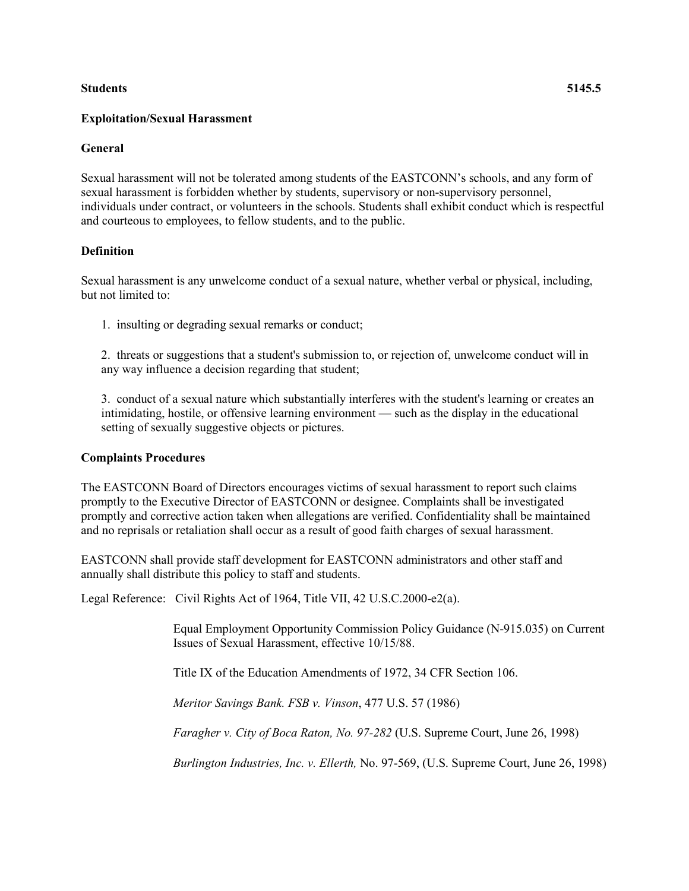### **Students 5145.5**

# **Exploitation/Sexual Harassment**

# **General**

Sexual harassment will not be tolerated among students of the EASTCONN's schools, and any form of sexual harassment is forbidden whether by students, supervisory or non-supervisory personnel, individuals under contract, or volunteers in the schools. Students shall exhibit conduct which is respectful and courteous to employees, to fellow students, and to the public.

# **Definition**

Sexual harassment is any unwelcome conduct of a sexual nature, whether verbal or physical, including, but not limited to:

1. insulting or degrading sexual remarks or conduct;

2. threats or suggestions that a student's submission to, or rejection of, unwelcome conduct will in any way influence a decision regarding that student;

3. conduct of a sexual nature which substantially interferes with the student's learning or creates an intimidating, hostile, or offensive learning environment — such as the display in the educational setting of sexually suggestive objects or pictures.

# **Complaints Procedures**

The EASTCONN Board of Directors encourages victims of sexual harassment to report such claims promptly to the Executive Director of EASTCONN or designee. Complaints shall be investigated promptly and corrective action taken when allegations are verified. Confidentiality shall be maintained and no reprisals or retaliation shall occur as a result of good faith charges of sexual harassment.

EASTCONN shall provide staff development for EASTCONN administrators and other staff and annually shall distribute this policy to staff and students.

Legal Reference: Civil Rights Act of 1964, Title VII, 42 U.S.C.2000-e2(a).

Equal Employment Opportunity Commission Policy Guidance (N-915.035) on Current Issues of Sexual Harassment, effective 10/15/88.

Title IX of the Education Amendments of 1972, 34 CFR Section 106.

*Meritor Savings Bank. FSB v. Vinson*, 477 U.S. 57 (1986)

*Faragher v. City of Boca Raton, No. 97-282* (U.S. Supreme Court, June 26, 1998)

*Burlington Industries, Inc. v. Ellerth,* No. 97-569, (U.S. Supreme Court, June 26, 1998)